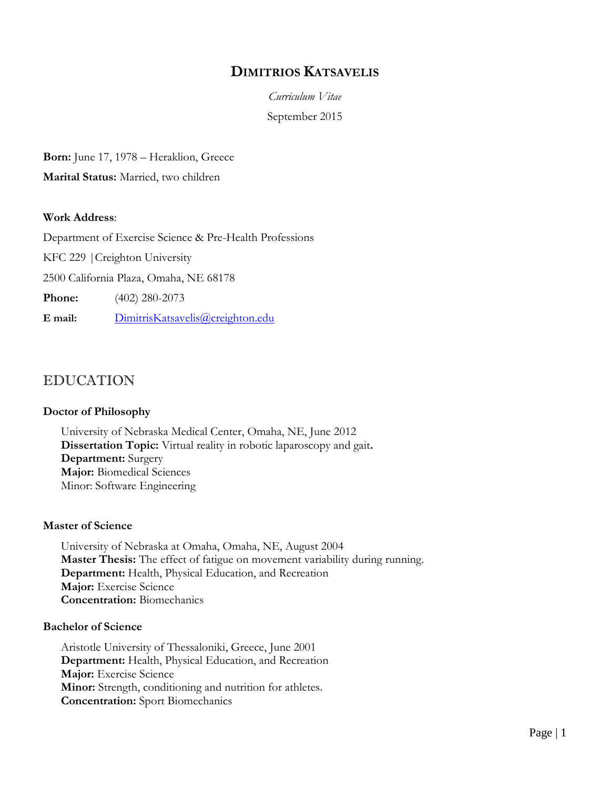## **DIMITRIOS KATSAVELIS**

*Curriculum Vitae* September 2015

**Born:** June 17, 1978 – Heraklion, Greece

**Marital Status:** Married, two children

#### **Work Address**:

Department of Exercise Science & Pre-Health Professions

KFC 229 |Creighton University

2500 California Plaza, Omaha, NE 68178

**Phone:** (402) 280-2073

**E mail:** [DimitrisKatsavelis@creighton.edu](mailto:DimitrisKatsavelis@creighton.edu)

## EDUCATION

#### **Doctor of Philosophy**

University of Nebraska Medical Center, Omaha, NE, June 2012 **Dissertation Topic:** Virtual reality in robotic laparoscopy and gait**. Department:** Surgery **Major:** Biomedical Sciences Minor: Software Engineering

#### **Master of Science**

University of Nebraska at Omaha, Omaha, NE, August 2004 **Master Thesis:** The effect of fatigue on movement variability during running. **Department:** Health, Physical Education, and Recreation **Major:** Exercise Science **Concentration:** Biomechanics

#### **Bachelor of Science**

Aristotle University of Thessaloniki, Greece, June 2001 **Department:** Health, Physical Education, and Recreation **Major:** Exercise Science **Minor:** Strength, conditioning and nutrition for athletes. **Concentration:** Sport Biomechanics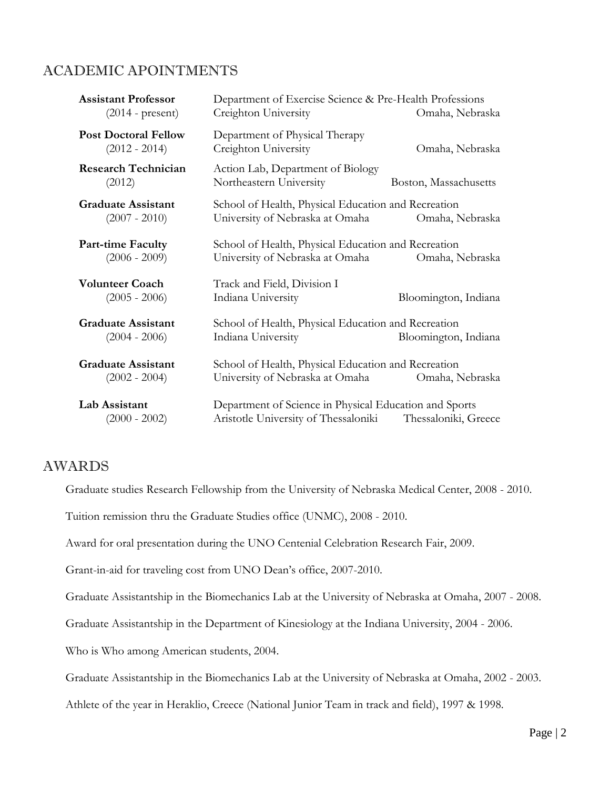## ACADEMIC APOINTMENTS

| <b>Assistant Professor</b><br>$(2014 - present)$ | Department of Exercise Science & Pre-Health Professions<br>Creighton University<br>Omaha, Nebraska                     |                       |
|--------------------------------------------------|------------------------------------------------------------------------------------------------------------------------|-----------------------|
| <b>Post Doctoral Fellow</b><br>$(2012 - 2014)$   | Department of Physical Therapy<br>Creighton University                                                                 | Omaha, Nebraska       |
| <b>Research Technician</b><br>(2012)             | Action Lab, Department of Biology<br>Northeastern University                                                           | Boston, Massachusetts |
| <b>Graduate Assistant</b><br>$(2007 - 2010)$     | School of Health, Physical Education and Recreation<br>University of Nebraska at Omaha<br>Omaha, Nebraska              |                       |
| <b>Part-time Faculty</b><br>$(2006 - 2009)$      | School of Health, Physical Education and Recreation<br>University of Nebraska at Omaha<br>Omaha, Nebraska              |                       |
| <b>Volunteer Coach</b><br>$(2005 - 2006)$        | Track and Field, Division I<br>Indiana University                                                                      | Bloomington, Indiana  |
| <b>Graduate Assistant</b><br>$(2004 - 2006)$     | School of Health, Physical Education and Recreation<br>Indiana University                                              | Bloomington, Indiana  |
| <b>Graduate Assistant</b><br>$(2002 - 2004)$     | School of Health, Physical Education and Recreation<br>University of Nebraska at Omaha<br>Omaha, Nebraska              |                       |
| Lab Assistant<br>$(2000 - 2002)$                 | Department of Science in Physical Education and Sports<br>Aristotle University of Thessaloniki<br>Thessaloniki, Greece |                       |

## AWARDS

Graduate studies Research Fellowship from the University of Nebraska Medical Center, 2008 - 2010.

Tuition remission thru the Graduate Studies office (UNMC), 2008 - 2010.

Award for oral presentation during the UNO Centenial Celebration Research Fair, 2009.

Grant-in-aid for traveling cost from UNO Dean's office, 2007-2010.

Graduate Assistantship in the Biomechanics Lab at the University of Nebraska at Omaha, 2007 - 2008.

Graduate Assistantship in the Department of Kinesiology at the Indiana University, 2004 - 2006.

Who is Who among American students, 2004.

Graduate Assistantship in the Biomechanics Lab at the University of Nebraska at Omaha, 2002 - 2003.

Athlete of the year in Heraklio, Creece (National Junior Team in track and field), 1997 & 1998.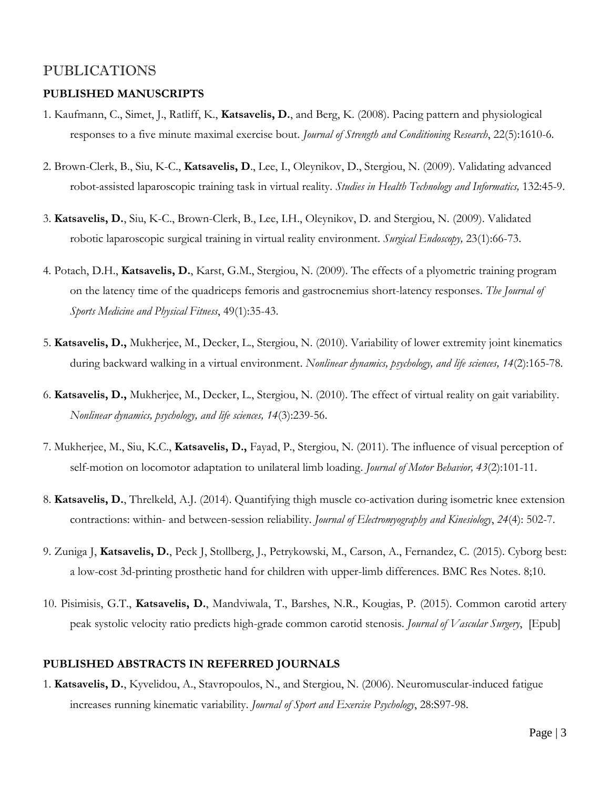## PUBLICATIONS

#### **PUBLISHED MANUSCRIPTS**

- 1. Kaufmann, C., Simet, J., Ratliff, K., **Katsavelis, D.**, and Berg, K. (2008). Pacing pattern and physiological responses to a five minute maximal exercise bout. *Journal of Strength and Conditioning Research*, 22(5):1610-6*.*
- 2. Brown-Clerk, B., Siu, K-C., **Katsavelis, D**., Lee, I., Oleynikov, D., Stergiou, N. (2009). Validating advanced robot-assisted laparoscopic training task in virtual reality. *Studies in Health Technology and Informatics,* 132:45-9.
- 3. **Katsavelis, D.**, Siu, K-C., Brown-Clerk, B., Lee, I.H., Oleynikov, D. and Stergiou, N. (2009). Validated robotic laparoscopic surgical training in virtual reality environment. *Surgical Endoscopy,* 23(1):66-73.
- 4. Potach, D.H., **Katsavelis, D.**, Karst, G.M., Stergiou, N. (2009). The effects of a plyometric training program on the latency time of the quadriceps femoris and gastrocnemius short-latency responses. *The Journal of Sports Medicine and Physical Fitness*, 49(1):35-43.
- 5. **Katsavelis, D.,** Mukherjee, M., Decker, L., Stergiou, N. (2010). Variability of lower extremity joint kinematics during backward walking in a virtual environment. *Nonlinear dynamics, psychology, and life sciences, 14*(2):165-78.
- 6. **Katsavelis, D.,** Mukherjee, M., Decker, L., Stergiou, N. (2010). The effect of virtual reality on gait variability. *Nonlinear dynamics, psychology, and life sciences, 14*(3):239-56.
- 7. Mukherjee, M., Siu, K.C., **Katsavelis, D.,** Fayad, P., Stergiou, N. (2011). The influence of visual perception of self-motion on locomotor adaptation to unilateral limb loading. *Journal of Motor Behavior, 43*(2):101-11.
- 8. **Katsavelis, D.**, Threlkeld, A.J. (2014). Quantifying thigh muscle co-activation during isometric knee extension contractions: within- and between-session reliability. *Journal of Electromyography and Kinesiology*, *24*(4): 502-7.
- 9. Zuniga J, **Katsavelis, D.**, Peck J, Stollberg, J., Petrykowski, M., Carson, A., Fernandez, C. (2015). Cyborg best: a low-cost 3d-printing prosthetic hand for children with upper-limb differences. BMC Res Notes. 8;10.
- 10. Pisimisis, G.T., **Katsavelis, D.**, Mandviwala, T., Barshes, N.R., Kougias, P. (2015). Common carotid artery peak systolic velocity ratio predicts high-grade common carotid stenosis. *Journal of Vascular Surgery*, [Epub]

#### **PUBLISHED ABSTRACTS IN REFERRED JOURNALS**

1. **Katsavelis, D.**, Kyvelidou, A., Stavropoulos, N., and Stergiou, N. (2006). Neuromuscular-induced fatigue increases running kinematic variability. *Journal of Sport and Exercise Psychology*, 28:S97-98.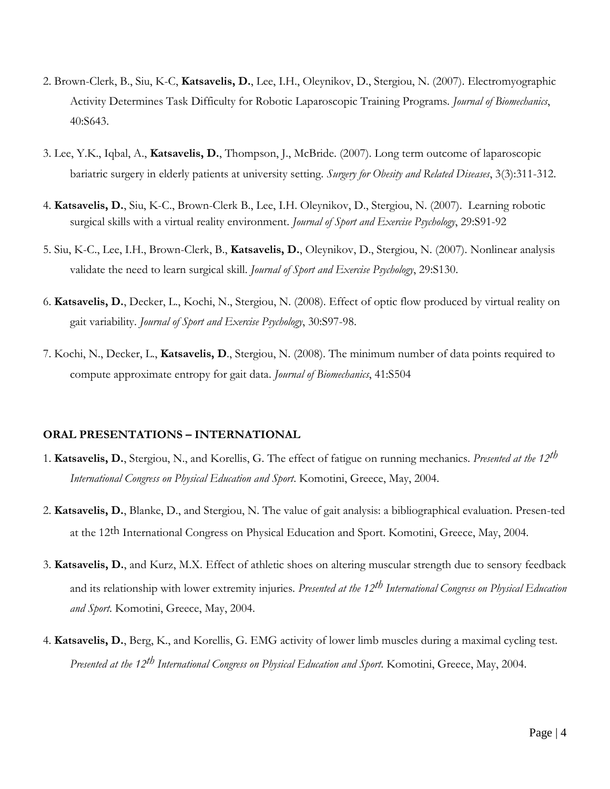- 2. Brown-Clerk, B., Siu, K-C, **Katsavelis, D.**, Lee, I.H., Oleynikov, D., Stergiou, N. (2007). Electromyographic Activity Determines Task Difficulty for Robotic Laparoscopic Training Programs. *Journal of Biomechanics*, 40:S643.
- 3. Lee, Y.K., Iqbal, A., **Katsavelis, D.**, Thompson, J., McBride. (2007). Long term outcome of laparoscopic bariatric surgery in elderly patients at university setting. *Surgery for Obesity and Related Diseases*, 3(3):311-312.
- 4. **Katsavelis, D.**, Siu, K-C., Brown-Clerk B., Lee, I.H. Oleynikov, D., Stergiou, N. (2007). Learning robotic surgical skills with a virtual reality environment. *Journal of Sport and Exercise Psychology*, 29:S91-92
- 5. Siu, K-C., Lee, I.H., Brown-Clerk, B., **Katsavelis, D.**, Oleynikov, D., Stergiou, N. (2007). Nonlinear analysis validate the need to learn surgical skill. *Journal of Sport and Exercise Psychology*, 29:S130.
- 6. **Katsavelis, D.**, Decker, L., Kochi, N., Stergiou, N. (2008). Effect of optic flow produced by virtual reality on gait variability. *Journal of Sport and Exercise Psychology*, 30:S97-98.
- 7. Kochi, N., Decker, L., **Katsavelis, D**., Stergiou, N. (2008). The minimum number of data points required to compute approximate entropy for gait data. *Journal of Biomechanics*, 41:S504

#### **ORAL PRESENTATIONS – INTERNATIONAL**

- 1. **Katsavelis, D.**, Stergiou, N., and Korellis, G. The effect of fatigue on running mechanics. *Presented at the 12th International Congress on Physical Education and Sport*. Komotini, Greece, May, 2004.
- 2. **Katsavelis, D.**, Blanke, D., and Stergiou, N. The value of gait analysis: a bibliographical evaluation. Presen-ted at the 12th International Congress on Physical Education and Sport. Komotini, Greece, May, 2004.
- 3. **Katsavelis, D.**, and Kurz, M.X. Effect of athletic shoes on altering muscular strength due to sensory feedback and its relationship with lower extremity injuries. *Presented at the 12th International Congress on Physical Education and Sport*. Komotini, Greece, May, 2004.
- 4. **Katsavelis, D.**, Berg, K., and Korellis, G. EMG activity of lower limb muscles during a maximal cycling test. *Presented at the 12th International Congress on Physical Education and Sport*. Komotini, Greece, May, 2004.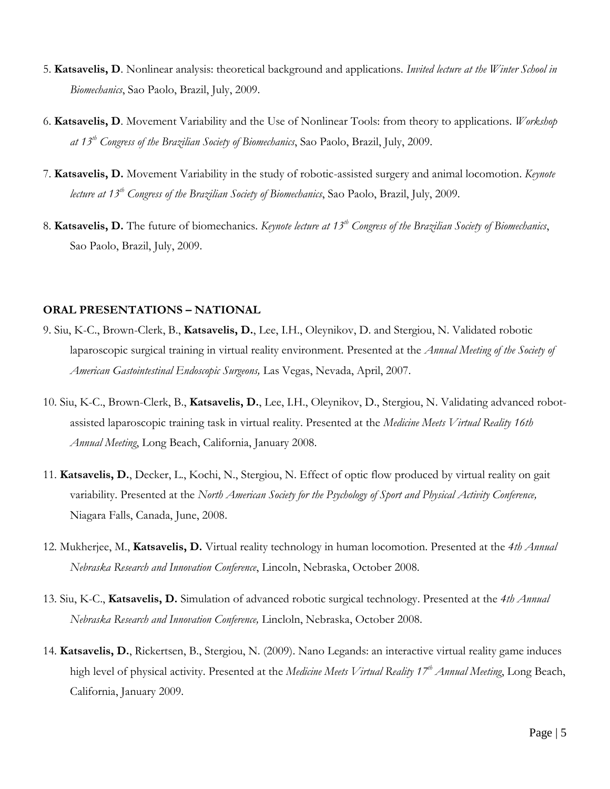- 5. **Katsavelis, D**. Nonlinear analysis: theoretical background and applications. *Invited lecture at the Winter School in Biomechanics*, Sao Paolo, Brazil, July, 2009.
- 6. **Katsavelis, D**. Movement Variability and the Use of Nonlinear Tools: from theory to applications. *Workshop at 13th Congress of the Brazilian Society of Biomechanics*, Sao Paolo, Brazil, July, 2009.
- 7. **Katsavelis, D.** Movement Variability in the study of robotic-assisted surgery and animal locomotion. *Keynote lecture at 13th Congress of the Brazilian Society of Biomechanics*, Sao Paolo, Brazil, July, 2009.
- 8. **Katsavelis, D.** The future of biomechanics. *Keynote lecture at 13th Congress of the Brazilian Society of Biomechanics*, Sao Paolo, Brazil, July, 2009.

#### **ORAL PRESENTATIONS – NATIONAL**

- 9. Siu, K-C., Brown-Clerk, B., **Katsavelis, D.**, Lee, I.H., Oleynikov, D. and Stergiou, N. Validated robotic laparoscopic surgical training in virtual reality environment. Presented at the *Annual Meeting of the Society of American Gastointestinal Endoscopic Surgeons,* Las Vegas, Nevada, April, 2007.
- 10. Siu, K-C., Brown-Clerk, B., **Katsavelis, D.**, Lee, I.H., Oleynikov, D., Stergiou, N. Validating advanced robotassisted laparoscopic training task in virtual reality. Presented at the *Medicine Meets Virtual Reality 16th Annual Meeting*, Long Beach, California, January 2008.
- 11. **Katsavelis, D.**, Decker, L., Kochi, N., Stergiou, N. Effect of optic flow produced by virtual reality on gait variability. Presented at the *North American Society for the Psychology of Sport and Physical Activity Conference,* Niagara Falls, Canada, June, 2008.
- 12. Mukherjee, M., **Katsavelis, D.** Virtual reality technology in human locomotion. Presented at the *4th Annual Nebraska Research and Innovation Conference*, Lincoln, Nebraska, October 2008.
- 13. Siu, K-C., **Katsavelis, D.** Simulation of advanced robotic surgical technology. Presented at the *4th Annual Nebraska Research and Innovation Conference,* Lincloln, Nebraska, October 2008.
- 14. **Katsavelis, D.**, Rickertsen, B., Stergiou, N. (2009). Nano Legands: an interactive virtual reality game induces high level of physical activity. Presented at the *Medicine Meets Virtual Reality 17th Annual Meeting*, Long Beach, California, January 2009.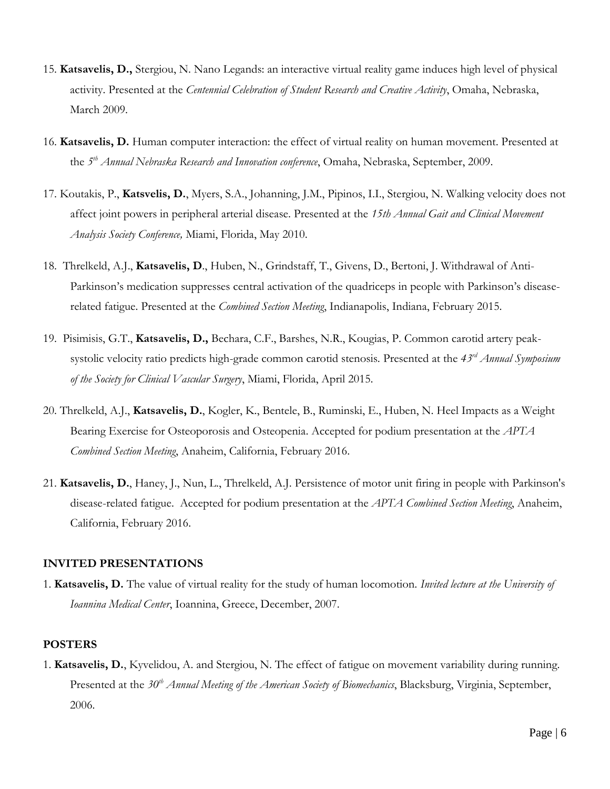- 15. **Katsavelis, D.,** Stergiou, N. Nano Legands: an interactive virtual reality game induces high level of physical activity. Presented at the *Centennial Celebration of Student Research and Creative Activity*, Omaha, Nebraska, March 2009.
- 16. **Katsavelis, D.** Human computer interaction: the effect of virtual reality on human movement. Presented at the *5 th Annual Nebraska Research and Innovation conference*, Omaha, Nebraska, September, 2009.
- 17. Koutakis, P., **Katsvelis, D.**, Myers, S.A., Johanning, J.M., Pipinos, I.I., Stergiou, N. Walking velocity does not affect joint powers in peripheral arterial disease. Presented at the *15th Annual Gait and Clinical Movement Analysis Society Conference,* Miami, Florida, May 2010.
- 18. Threlkeld, A.J., **Katsavelis, D**., Huben, N., Grindstaff, T., Givens, D., Bertoni, J. Withdrawal of Anti-Parkinson's medication suppresses central activation of the quadriceps in people with Parkinson's diseaserelated fatigue. Presented at the *Combined Section Meeting*, Indianapolis, Indiana, February 2015.
- 19. Pisimisis, G.T., **Katsavelis, D.,** Bechara, C.F., Barshes, N.R., Kougias, P. Common carotid artery peaksystolic velocity ratio predicts high-grade common carotid stenosis. Presented at the *43rd Annual Symposium of the Society for Clinical Vascular Surgery*, Miami, Florida, April 2015.
- 20. Threlkeld, A.J., **Katsavelis, D.**, Kogler, K., Bentele, B., Ruminski, E., Huben, N. Heel Impacts as a Weight Bearing Exercise for Osteoporosis and Osteopenia. Accepted for podium presentation at the *APTA Combined Section Meeting*, Anaheim, California, February 2016.
- 21. **Katsavelis, D.**, Haney, J., Nun, L., Threlkeld, A.J. Persistence of motor unit firing in people with Parkinson's disease-related fatigue. Accepted for podium presentation at the *APTA Combined Section Meeting*, Anaheim, California, February 2016.

#### **INVITED PRESENTATIONS**

1. **Katsavelis, D.** The value of virtual reality for the study of human locomotion. *Invited lecture at the University of Ioannina Medical Center*, Ioannina, Greece, December, 2007.

#### **POSTERS**

1. **Katsavelis, D.**, Kyvelidou, A. and Stergiou, N. The effect of fatigue on movement variability during running. Presented at the 30<sup>th</sup> *Annual Meeting of the American Society of Biomechanics*, Blacksburg, Virginia, September, 2006.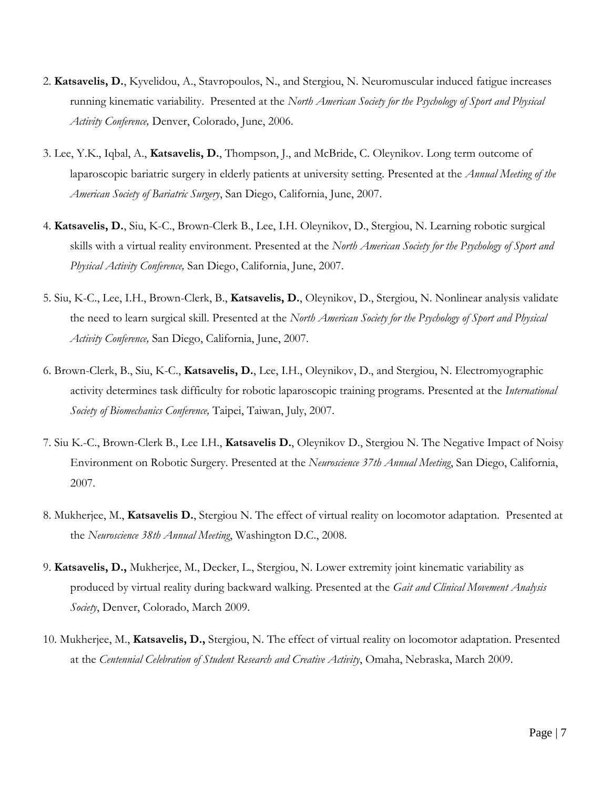- 2. **Katsavelis, D.**, Kyvelidou, A., Stavropoulos, N., and Stergiou, N. Neuromuscular induced fatigue increases running kinematic variability. Presented at the *North American Society for the Psychology of Sport and Physical Activity Conference,* Denver, Colorado, June, 2006.
- 3. Lee, Y.K., Iqbal, A., **Katsavelis, D.**, Thompson, J., and McBride, C. Oleynikov. Long term outcome of laparoscopic bariatric surgery in elderly patients at university setting. Presented at the *Annual Meeting of the American Society of Bariatric Surgery*, San Diego, California, June, 2007.
- 4. **Katsavelis, D.**, Siu, K-C., Brown-Clerk B., Lee, I.H. Oleynikov, D., Stergiou, N. Learning robotic surgical skills with a virtual reality environment. Presented at the *North American Society for the Psychology of Sport and Physical Activity Conference,* San Diego, California, June, 2007.
- 5. Siu, K-C., Lee, I.H., Brown-Clerk, B., **Katsavelis, D.**, Oleynikov, D., Stergiou, N. Nonlinear analysis validate the need to learn surgical skill. Presented at the *North American Society for the Psychology of Sport and Physical Activity Conference,* San Diego, California, June, 2007.
- 6. Brown-Clerk, B., Siu, K-C., **Katsavelis, D.**, Lee, I.H., Oleynikov, D., and Stergiou, N. Electromyographic activity determines task difficulty for robotic laparoscopic training programs. Presented at the *International Society of Biomechanics Conference,* Taipei, Taiwan, July, 2007.
- 7. Siu K.-C., Brown-Clerk B., Lee I.H., **Katsavelis D.**, Oleynikov D., Stergiou N. The Negative Impact of Noisy Environment on Robotic Surgery. Presented at the *Neuroscience 37th Annual Meeting*, San Diego, California, 2007.
- 8. Mukherjee, M., **Katsavelis D.**, Stergiou N. The effect of virtual reality on locomotor adaptation. Presented at the *Neuroscience 38th Annual Meeting*, Washington D.C., 2008.
- 9. **Katsavelis, D.,** Mukherjee, M., Decker, L., Stergiou, N. Lower extremity joint kinematic variability as produced by virtual reality during backward walking. Presented at the *Gait and Clinical Movement Analysis Society*, Denver, Colorado, March 2009.
- 10. Mukherjee, M., **Katsavelis, D.,** Stergiou, N. The effect of virtual reality on locomotor adaptation. Presented at the *Centennial Celebration of Student Research and Creative Activity*, Omaha, Nebraska, March 2009.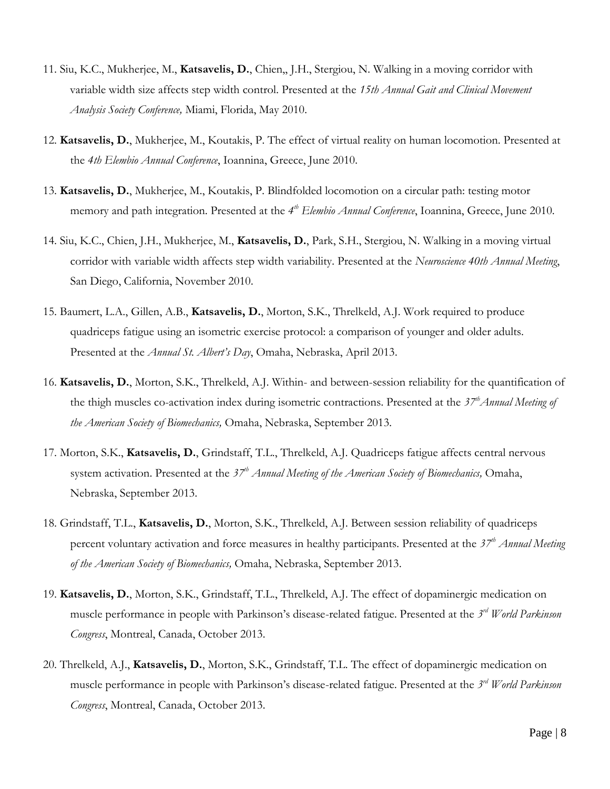- 11. Siu, K.C., Mukherjee, M., **Katsavelis, D.**, Chien,, J.H., Stergiou, N. Walking in a moving corridor with variable width size affects step width control. Presented at the *15th Annual Gait and Clinical Movement Analysis Society Conference,* Miami, Florida, May 2010.
- 12. **Katsavelis, D.**, Mukherjee, M., Koutakis, P. The effect of virtual reality on human locomotion. Presented at the *4th Elembio Annual Conference*, Ioannina, Greece, June 2010.
- 13. **Katsavelis, D.**, Mukherjee, M., Koutakis, P. Blindfolded locomotion on a circular path: testing motor memory and path integration. Presented at the 4<sup>th</sup> Elembio Annual Conference, Ioannina, Greece, June 2010.
- 14. Siu, K.C., Chien, J.H., Mukherjee, M., **Katsavelis, D.**, Park, S.H., Stergiou, N. Walking in a moving virtual corridor with variable width affects step width variability. Presented at the *Neuroscience 40th Annual Meeting*, San Diego, California, November 2010.
- 15. Baumert, L.A., Gillen, A.B., **Katsavelis, D.**, Morton, S.K., Threlkeld, A.J. Work required to produce quadriceps fatigue using an isometric exercise protocol: a comparison of younger and older adults. Presented at the *Annual St. Albert's Day*, Omaha, Nebraska, April 2013.
- 16. **Katsavelis, D.**, Morton, S.K., Threlkeld, A.J. Within- and between-session reliability for the quantification of the thigh muscles co-activation index during isometric contractions. Presented at the *37thAnnual Meeting of the American Society of Biomechanics,* Omaha, Nebraska, September 2013.
- 17. Morton, S.K., **Katsavelis, D.**, Grindstaff, T.L., Threlkeld, A.J. Quadriceps fatigue affects central nervous system activation. Presented at the *37th Annual Meeting of the American Society of Biomechanics,* Omaha, Nebraska, September 2013.
- 18. Grindstaff, T.L., **Katsavelis, D.**, Morton, S.K., Threlkeld, A.J. Between session reliability of quadriceps percent voluntary activation and force measures in healthy participants. Presented at the *37th Annual Meeting of the American Society of Biomechanics,* Omaha, Nebraska, September 2013.
- 19. **Katsavelis, D.**, Morton, S.K., Grindstaff, T.L., Threlkeld, A.J. The effect of dopaminergic medication on muscle performance in people with Parkinson's disease-related fatigue. Presented at the *3 rd World Parkinson Congress*, Montreal, Canada, October 2013.
- 20. Threlkeld, A.J., **Katsavelis, D.**, Morton, S.K., Grindstaff, T.L. The effect of dopaminergic medication on muscle performance in people with Parkinson's disease-related fatigue. Presented at the *3 rd World Parkinson Congress*, Montreal, Canada, October 2013.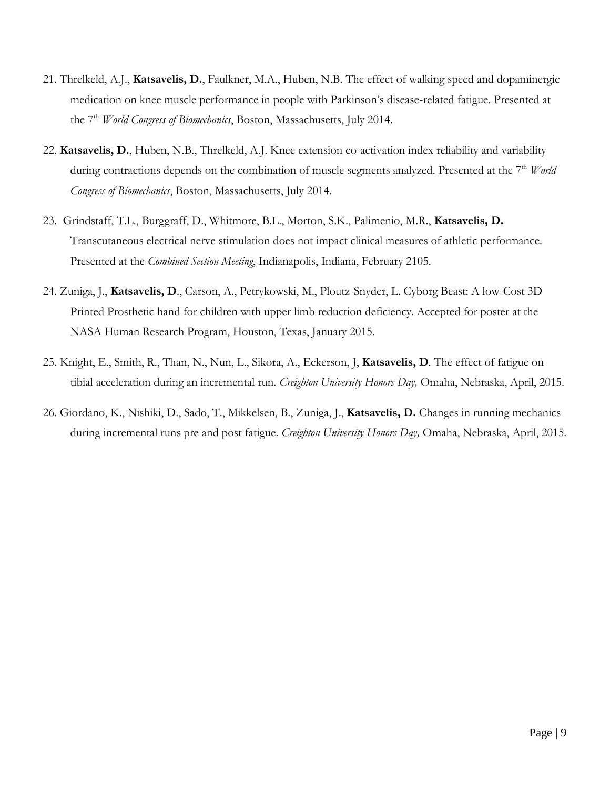- 21. Threlkeld, A.J., **Katsavelis, D.**, Faulkner, M.A., Huben, N.B. The effect of walking speed and dopaminergic medication on knee muscle performance in people with Parkinson's disease-related fatigue. Presented at the 7 th *World Congress of Biomechanics*, Boston, Massachusetts, July 2014.
- 22. **Katsavelis, D.**, Huben, N.B., Threlkeld, A.J. Knee extension co-activation index reliability and variability during contractions depends on the combination of muscle segments analyzed. Presented at the 7<sup>th</sup> *World Congress of Biomechanics*, Boston, Massachusetts, July 2014.
- 23. Grindstaff, T.L., Burggraff, D., Whitmore, B.L., Morton, S.K., Palimenio, M.R., **Katsavelis, D.** Transcutaneous electrical nerve stimulation does not impact clinical measures of athletic performance. Presented at the *Combined Section Meeting*, Indianapolis, Indiana, February 2105.
- 24. Zuniga, J., **Katsavelis, D**., Carson, A., Petrykowski, M., Ploutz-Snyder, L. Cyborg Beast: A low-Cost 3D Printed Prosthetic hand for children with upper limb reduction deficiency. Accepted for poster at the NASA Human Research Program, Houston, Texas, January 2015.
- 25. Knight, E., Smith, R., Than, N., Nun, L., Sikora, A., Eckerson, J, **Katsavelis, D**. The effect of fatigue on tibial acceleration during an incremental run. *Creighton University Honors Day,* Omaha, Nebraska, April, 2015.
- 26. Giordano, K., Nishiki, D., Sado, T., Mikkelsen, B., Zuniga, J., **Katsavelis, D.** Changes in running mechanics during incremental runs pre and post fatigue. *Creighton University Honors Day,* Omaha, Nebraska, April, 2015.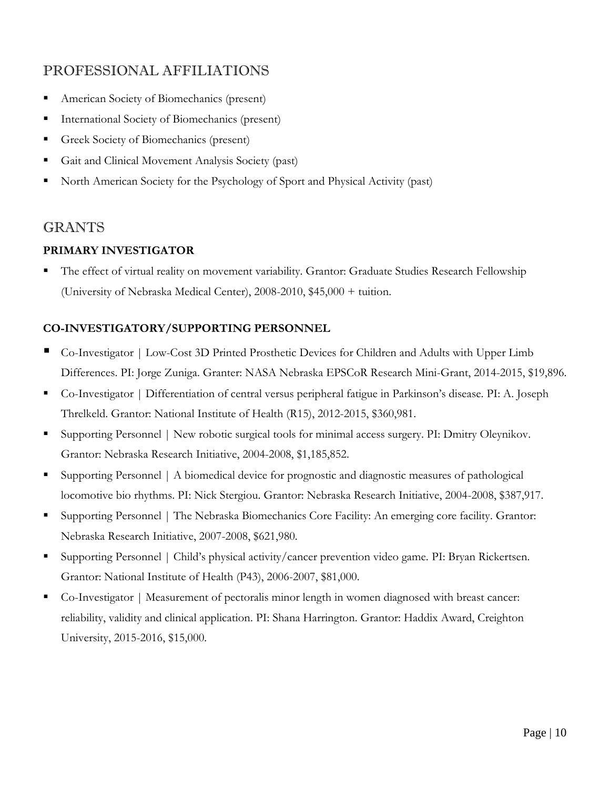# PROFESSIONAL AFFILIATIONS

- American Society of Biomechanics (present)
- International Society of Biomechanics (present)
- Greek Society of Biomechanics (present)
- Gait and Clinical Movement Analysis Society (past)
- North American Society for the Psychology of Sport and Physical Activity (past)

## GRANTS

### **PRIMARY INVESTIGATOR**

 The effect of virtual reality on movement variability. Grantor: Graduate Studies Research Fellowship (University of Nebraska Medical Center), 2008-2010, \$45,000 + tuition.

### **CO-INVESTIGATORY/SUPPORTING PERSONNEL**

- Co-Investigator | Low-Cost 3D Printed Prosthetic Devices for Children and Adults with Upper Limb Differences. PI: Jorge Zuniga. Granter: NASA Nebraska EPSCoR Research Mini-Grant, 2014-2015, \$19,896.
- Co-Investigator | Differentiation of central versus peripheral fatigue in Parkinson's disease. PI: A. Joseph Threlkeld. Grantor: National Institute of Health (R15), 2012-2015, \$360,981.
- Supporting Personnel | New robotic surgical tools for minimal access surgery. PI: Dmitry Oleynikov. Grantor: Nebraska Research Initiative, 2004-2008, \$1,185,852.
- Supporting Personnel | A biomedical device for prognostic and diagnostic measures of pathological locomotive bio rhythms. PI: Nick Stergiou. Grantor: Nebraska Research Initiative, 2004-2008, \$387,917.
- Supporting Personnel | The Nebraska Biomechanics Core Facility: An emerging core facility. Grantor: Nebraska Research Initiative, 2007-2008, \$621,980.
- Supporting Personnel | Child's physical activity/cancer prevention video game. PI: Bryan Rickertsen. Grantor: National Institute of Health (P43), 2006-2007, \$81,000.
- Co-Investigator | Measurement of pectoralis minor length in women diagnosed with breast cancer: reliability, validity and clinical application. PI: Shana Harrington. Grantor: Haddix Award, Creighton University, 2015-2016, \$15,000.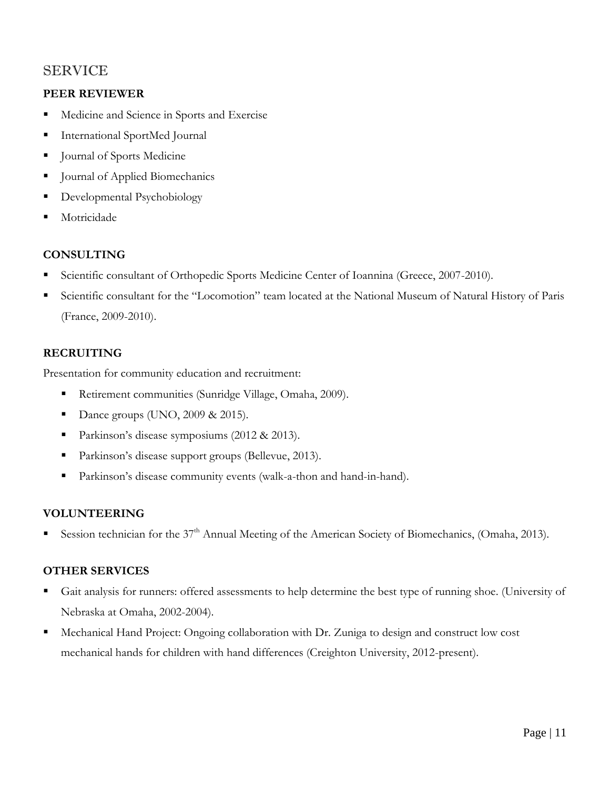# SERVICE

### **PEER REVIEWER**

- **Medicine and Science in Sports and Exercise**
- International SportMed Journal
- Journal of Sports Medicine
- **Journal of Applied Biomechanics**
- **Developmental Psychobiology**
- **Motricidade**

## **CONSULTING**

- Scientific consultant of Orthopedic Sports Medicine Center of Ioannina (Greece, 2007-2010).
- Scientific consultant for the "Locomotion" team located at the National Museum of Natural History of Paris (France, 2009-2010).

## **RECRUITING**

Presentation for community education and recruitment:

- Retirement communities (Sunridge Village, Omaha, 2009).
- Dance groups (UNO,  $2009 \& 2015$ ).
- Parkinson's disease symposiums (2012 & 2013).
- **Parkinson's disease support groups (Bellevue, 2013).**
- Parkinson's disease community events (walk-a-thon and hand-in-hand).

### **VOLUNTEERING**

Session technician for the  $37<sup>th</sup>$  Annual Meeting of the American Society of Biomechanics, (Omaha, 2013).

### **OTHER SERVICES**

- Gait analysis for runners: offered assessments to help determine the best type of running shoe. (University of Nebraska at Omaha, 2002-2004).
- Mechanical Hand Project: Ongoing collaboration with Dr. Zuniga to design and construct low cost mechanical hands for children with hand differences (Creighton University, 2012-present).